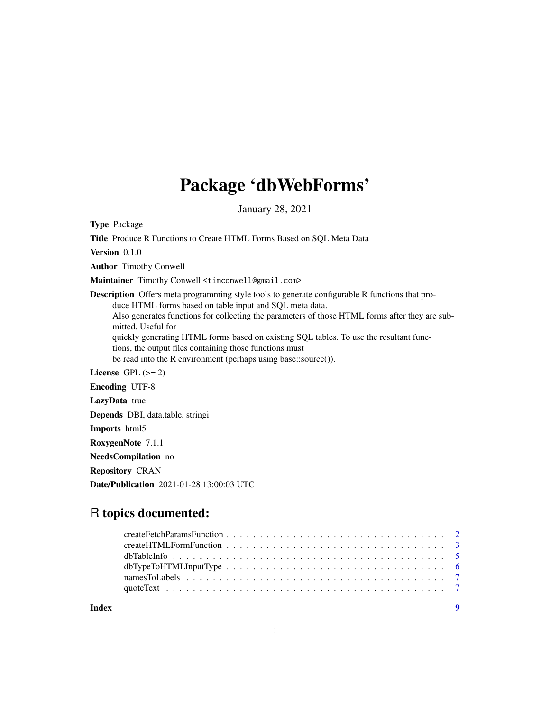# Package 'dbWebForms'

January 28, 2021

Type Package

Title Produce R Functions to Create HTML Forms Based on SQL Meta Data Version 0.1.0 Author Timothy Conwell Maintainer Timothy Conwell <timconwell@gmail.com> Description Offers meta programming style tools to generate configurable R functions that produce HTML forms based on table input and SQL meta data. Also generates functions for collecting the parameters of those HTML forms after they are submitted. Useful for quickly generating HTML forms based on existing SQL tables. To use the resultant functions, the output files containing those functions must be read into the R environment (perhaps using base::source()). License GPL  $(>= 2)$ Encoding UTF-8 LazyData true Depends DBI, data.table, stringi Imports html5 RoxygenNote 7.1.1 NeedsCompilation no Repository CRAN

Date/Publication 2021-01-28 13:00:03 UTC

# R topics documented:

| Index | $\overline{\mathbf{9}}$ |
|-------|-------------------------|
|       |                         |
|       |                         |
|       |                         |
|       |                         |
|       |                         |
|       |                         |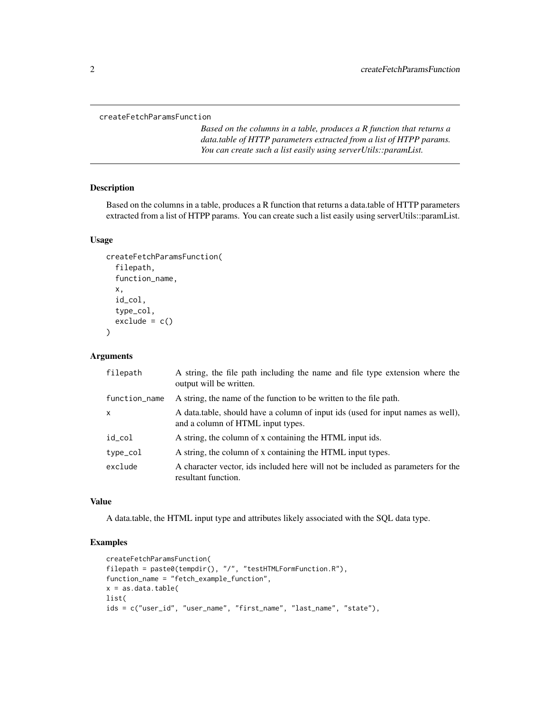<span id="page-1-0"></span>createFetchParamsFunction

*Based on the columns in a table, produces a R function that returns a data.table of HTTP parameters extracted from a list of HTPP params. You can create such a list easily using serverUtils::paramList.*

#### Description

Based on the columns in a table, produces a R function that returns a data.table of HTTP parameters extracted from a list of HTPP params. You can create such a list easily using serverUtils::paramList.

#### Usage

```
createFetchParamsFunction(
  filepath,
  function_name,
  x,
  id_col,
  type_col,
  exclude = c())
```
#### Arguments

| filepath      | A string, the file path including the name and file type extension where the<br>output will be written.              |
|---------------|----------------------------------------------------------------------------------------------------------------------|
| function_name | A string, the name of the function to be written to the file path.                                                   |
| X             | A data table, should have a column of input ids (used for input names as well),<br>and a column of HTML input types. |
| id_col        | A string, the column of x containing the HTML input ids.                                                             |
| type_col      | A string, the column of x containing the HTML input types.                                                           |
| exclude       | A character vector, ids included here will not be included as parameters for the<br>resultant function.              |

#### Value

A data.table, the HTML input type and attributes likely associated with the SQL data type.

#### Examples

```
createFetchParamsFunction(
filepath = paste0(tempdir(), "/", "testHTMLFormFunction.R"),
function_name = "fetch_example_function",
x = as.data.title(list(
ids = c("user_id", "user_name", "first_name", "last_name", "state"),
```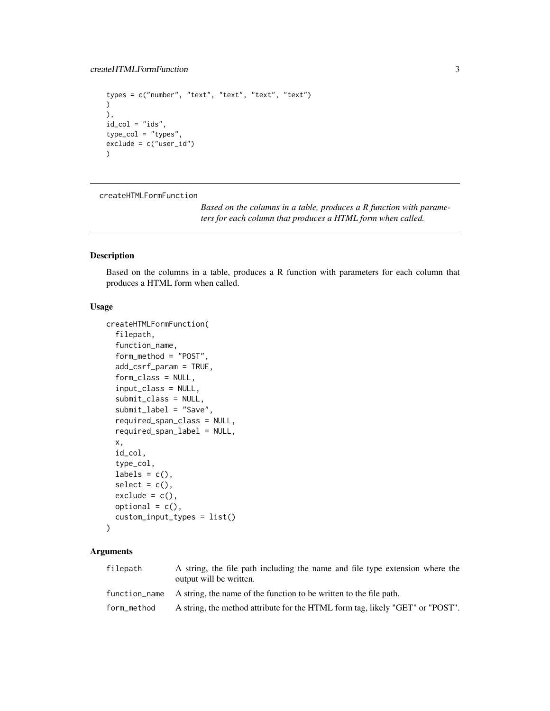```
types = c("number", "text", "text", "text", "text")
\lambda),
id\_col = "ids",type_col = "types",
exclude = c("user_id")
\mathcal{L}
```
createHTMLFormFunction

*Based on the columns in a table, produces a R function with parameters for each column that produces a HTML form when called.*

#### Description

Based on the columns in a table, produces a R function with parameters for each column that produces a HTML form when called.

#### Usage

```
createHTMLFormFunction(
  filepath,
  function_name,
  form_method = "POST",
  add_csrf_param = TRUE,
  form_class = NULL,
  input_class = NULL,
  submit_class = NULL,
  submit_label = "Save",
  required_span_class = NULL,
  required_span_label = NULL,
  x,
  id_col,
  type_col,
  labels = c(),
  select = c(),
  exclude = c(),
  optional = c(),
  custom_input_types = list()
)
```
#### Arguments

| filepath      | A string, the file path including the name and file type extension where the<br>output will be written. |
|---------------|---------------------------------------------------------------------------------------------------------|
| function_name | A string, the name of the function to be written to the file path.                                      |
| form_method   | A string, the method attribute for the HTML form tag, likely "GET" or "POST".                           |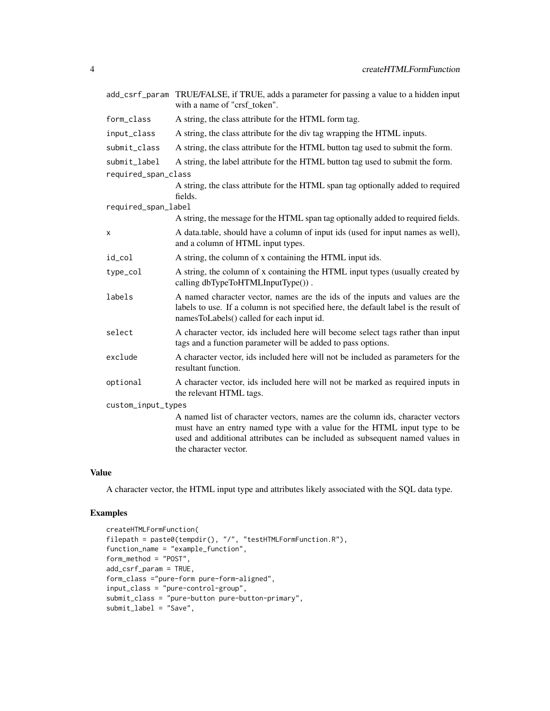| add_csrf_param                      | TRUE/FALSE, if TRUE, adds a parameter for passing a value to a hidden input<br>with a name of "crsf_token".                                                                                                                                                         |  |
|-------------------------------------|---------------------------------------------------------------------------------------------------------------------------------------------------------------------------------------------------------------------------------------------------------------------|--|
| form_class                          | A string, the class attribute for the HTML form tag.                                                                                                                                                                                                                |  |
| input_class                         | A string, the class attribute for the div tag wrapping the HTML inputs.                                                                                                                                                                                             |  |
| submit_class                        | A string, the class attribute for the HTML button tag used to submit the form.                                                                                                                                                                                      |  |
| submit label<br>required_span_class | A string, the label attribute for the HTML button tag used to submit the form.                                                                                                                                                                                      |  |
|                                     | A string, the class attribute for the HTML span tag optionally added to required<br>fields.                                                                                                                                                                         |  |
| required_span_label                 | A string, the message for the HTML span tag optionally added to required fields.                                                                                                                                                                                    |  |
|                                     |                                                                                                                                                                                                                                                                     |  |
| X                                   | A data.table, should have a column of input ids (used for input names as well),<br>and a column of HTML input types.                                                                                                                                                |  |
| id_col                              | A string, the column of x containing the HTML input ids.                                                                                                                                                                                                            |  |
| type_col                            | A string, the column of x containing the HTML input types (usually created by<br>calling dbTypeToHTMLInputType()).                                                                                                                                                  |  |
| labels                              | A named character vector, names are the ids of the inputs and values are the<br>labels to use. If a column is not specified here, the default label is the result of<br>namesToLabels() called for each input id.                                                   |  |
| select                              | A character vector, ids included here will become select tags rather than input<br>tags and a function parameter will be added to pass options.                                                                                                                     |  |
| exclude                             | A character vector, ids included here will not be included as parameters for the<br>resultant function.                                                                                                                                                             |  |
| optional                            | A character vector, ids included here will not be marked as required inputs in<br>the relevant HTML tags.                                                                                                                                                           |  |
| custom_input_types                  |                                                                                                                                                                                                                                                                     |  |
|                                     | A named list of character vectors, names are the column ids, character vectors<br>must have an entry named type with a value for the HTML input type to be<br>used and additional attributes can be included as subsequent named values in<br>the character vector. |  |

#### Value

A character vector, the HTML input type and attributes likely associated with the SQL data type.

### Examples

```
createHTMLFormFunction(
filepath = paste0(tempdir(), "/", "testHTMLFormFunction.R"),
function_name = "example_function",
form_method = "POST",
add_csrf_param = TRUE,
form_class ="pure-form pure-form-aligned",
input_class = "pure-control-group",
submit_class = "pure-button pure-button-primary",
submit_label = "Save",
```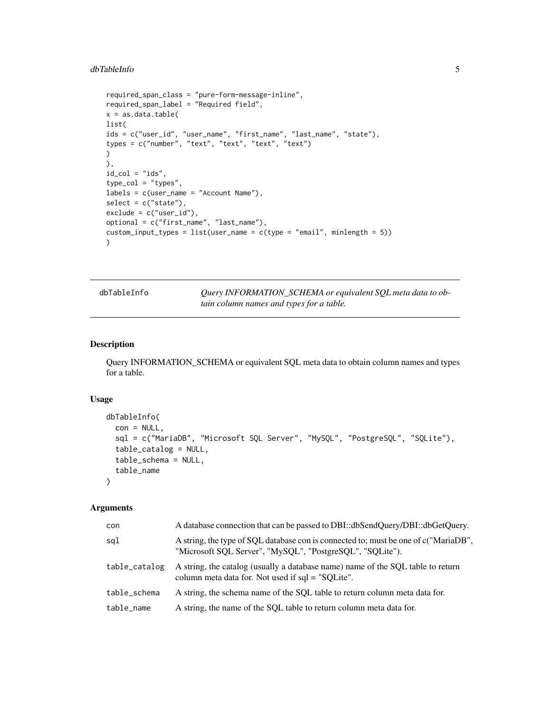#### <span id="page-4-0"></span>dbTableInfo 5

```
required_span_class = "pure-form-message-inline",
required_span_label = "Required field",
x = as.data.title(list(
ids = c("user_id", "user_name", "first_name", "last_name", "state"),
types = c("number", "text", "text", "text", "text")
)
),
id\_col = "ids",type_col = "types",
labels = c(user_name = "Account Name"),
select = c("state"),
exclude = c("user_id"),
optional = c("first_name", "last_name"),
custom\_input\_types = list(user_name = c(type = "email", minlength = 5)))
```
dbTableInfo *Query INFORMATION\_SCHEMA or equivalent SQL meta data to obtain column names and types for a table.*

#### Description

Query INFORMATION\_SCHEMA or equivalent SQL meta data to obtain column names and types for a table.

#### Usage

```
dbTableInfo(
  con = NULL,
  sql = c("MariaDB", "Microsoft SQL Server", "MySQL", "PostgreSQL", "SQLite"),
  table_catalog = NULL,
  table_schema = NULL,
  table_name
\mathcal{L}
```
#### Arguments

| con           | A database connection that can be passed to DBI::dbSendQuery/DBI::dbGetQuery.                                                                    |
|---------------|--------------------------------------------------------------------------------------------------------------------------------------------------|
| sql           | A string, the type of SOL database con is connected to; must be one of c("MariaDB",<br>"Microsoft SQL Server", "MySQL", "PostgreSQL", "SQLite"). |
| table_catalog | A string, the catalog (usually a database name) name of the SQL table to return<br>column meta data for. Not used if sql = "SQLite".             |
| table_schema  | A string, the schema name of the SOL table to return column meta data for.                                                                       |
| table name    | A string, the name of the SOL table to return column meta data for.                                                                              |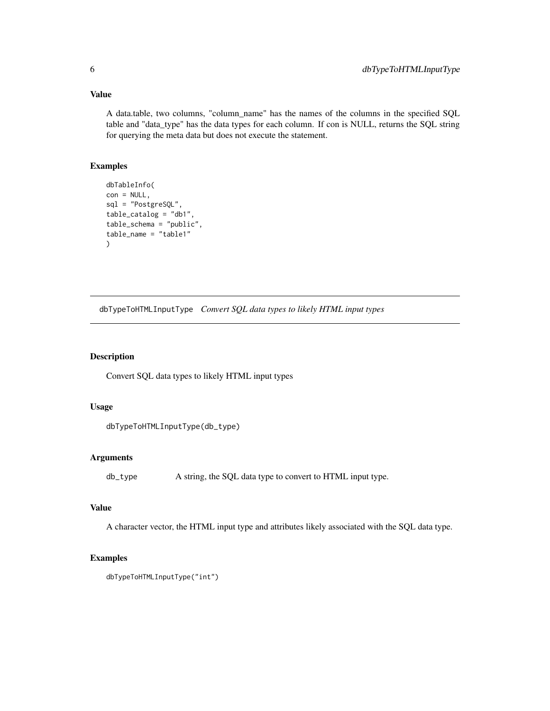#### Value

A data.table, two columns, "column\_name" has the names of the columns in the specified SQL table and "data\_type" has the data types for each column. If con is NULL, returns the SQL string for querying the meta data but does not execute the statement.

#### Examples

```
dbTableInfo(
con = NULL.
sql = "PostgreSQL",
table_catalog = "db1",
table_schema = "public",
table_name = "table1"
\lambda
```
dbTypeToHTMLInputType *Convert SQL data types to likely HTML input types*

#### Description

Convert SQL data types to likely HTML input types

#### Usage

```
dbTypeToHTMLInputType(db_type)
```
#### Arguments

db\_type A string, the SQL data type to convert to HTML input type.

#### Value

A character vector, the HTML input type and attributes likely associated with the SQL data type.

#### Examples

```
dbTypeToHTMLInputType("int")
```
<span id="page-5-0"></span>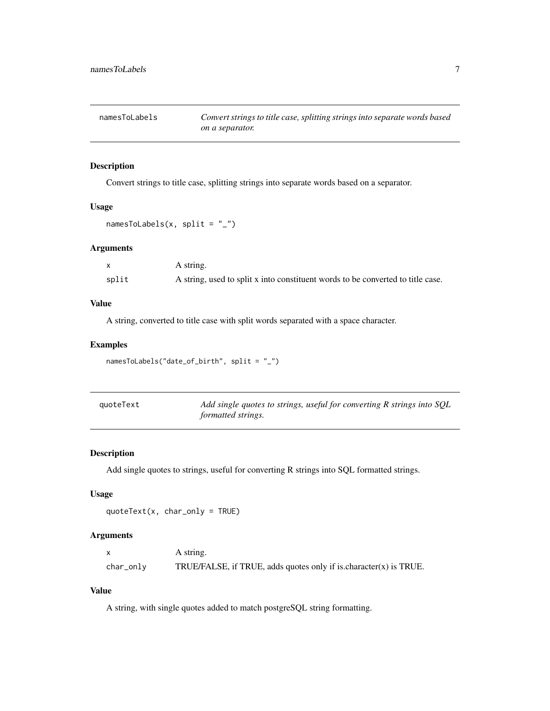<span id="page-6-0"></span>

#### Description

Convert strings to title case, splitting strings into separate words based on a separator.

#### Usage

```
namesToLabels(x, split = "_")
```
#### Arguments

|       | A string.                                                                       |
|-------|---------------------------------------------------------------------------------|
| split | A string, used to split x into constituent words to be converted to title case. |

#### Value

A string, converted to title case with split words separated with a space character.

#### Examples

```
namesToLabels("date_of_birth", split = "_")
```

| quoteText | Add single quotes to strings, useful for converting R strings into SQL |
|-----------|------------------------------------------------------------------------|
|           | <i>formatted strings.</i>                                              |

#### Description

Add single quotes to strings, useful for converting R strings into SQL formatted strings.

#### Usage

```
quoteText(x, char_only = TRUE)
```
#### Arguments

|           | A string.                                                            |
|-----------|----------------------------------------------------------------------|
| char_only | TRUE/FALSE, if TRUE, adds quotes only if is character $(x)$ is TRUE. |

#### Value

A string, with single quotes added to match postgreSQL string formatting.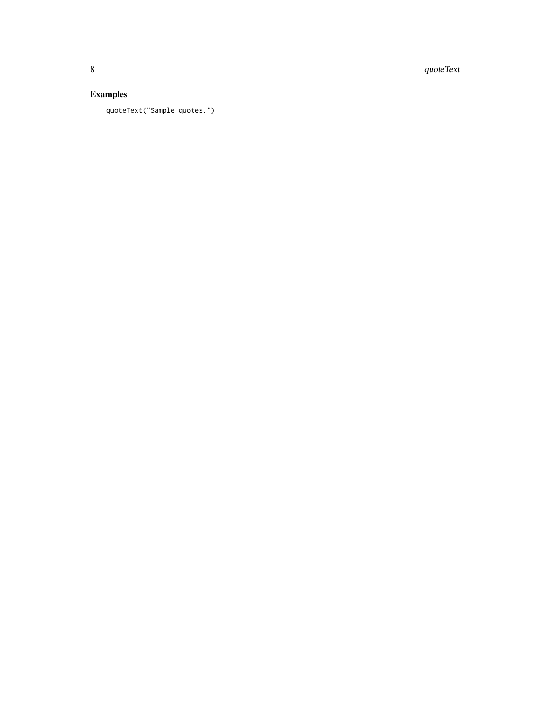8 quoteText

## Examples

quoteText("Sample quotes.")